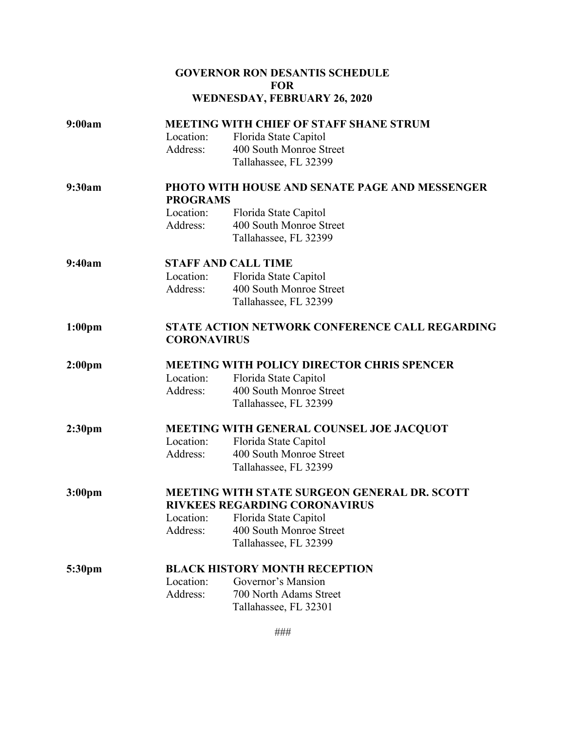## **GOVERNOR RON DESANTIS SCHEDULE FOR WEDNESDAY, FEBRUARY 26, 2020**

| 9:00am             | <b>MEETING WITH CHIEF OF STAFF SHANE STRUM</b>        |                                      |  |
|--------------------|-------------------------------------------------------|--------------------------------------|--|
|                    | Location:                                             | Florida State Capitol                |  |
|                    | Address:                                              | 400 South Monroe Street              |  |
|                    |                                                       | Tallahassee, FL 32399                |  |
| 9:30am             | <b>PHOTO WITH HOUSE AND SENATE PAGE AND MESSENGER</b> |                                      |  |
|                    | <b>PROGRAMS</b>                                       |                                      |  |
|                    | Location:                                             | Florida State Capitol                |  |
|                    | Address:                                              | 400 South Monroe Street              |  |
|                    |                                                       | Tallahassee, FL 32399                |  |
| 9:40am             | <b>STAFF AND CALL TIME</b>                            |                                      |  |
|                    | Location:                                             | Florida State Capitol                |  |
|                    | Address:                                              | 400 South Monroe Street              |  |
|                    |                                                       | Tallahassee, FL 32399                |  |
| 1:00 <sub>pm</sub> | <b>STATE ACTION NETWORK CONFERENCE CALL REGARDING</b> |                                      |  |
|                    | <b>CORONAVIRUS</b>                                    |                                      |  |
| 2:00 <sub>pm</sub> | <b>MEETING WITH POLICY DIRECTOR CHRIS SPENCER</b>     |                                      |  |
|                    | Location:                                             | Florida State Capitol                |  |
|                    | Address:                                              | 400 South Monroe Street              |  |
|                    |                                                       | Tallahassee, FL 32399                |  |
| 2:30 <sub>pm</sub> | MEETING WITH GENERAL COUNSEL JOE JACQUOT              |                                      |  |
|                    | Location:                                             | Florida State Capitol                |  |
|                    | Address:                                              | 400 South Monroe Street              |  |
|                    |                                                       | Tallahassee, FL 32399                |  |
| 3:00 <sub>pm</sub> | <b>MEETING WITH STATE SURGEON GENERAL DR. SCOTT</b>   |                                      |  |
|                    |                                                       | <b>RIVKEES REGARDING CORONAVIRUS</b> |  |
|                    | Location:                                             | Florida State Capitol                |  |
|                    | Address:                                              | 400 South Monroe Street              |  |
|                    |                                                       | Tallahassee, FL 32399                |  |
| 5:30pm             | <b>BLACK HISTORY MONTH RECEPTION</b>                  |                                      |  |
|                    | Location:                                             | Governor's Mansion                   |  |
|                    | Address:                                              | 700 North Adams Street               |  |
|                    |                                                       | Tallahassee, FL 32301                |  |